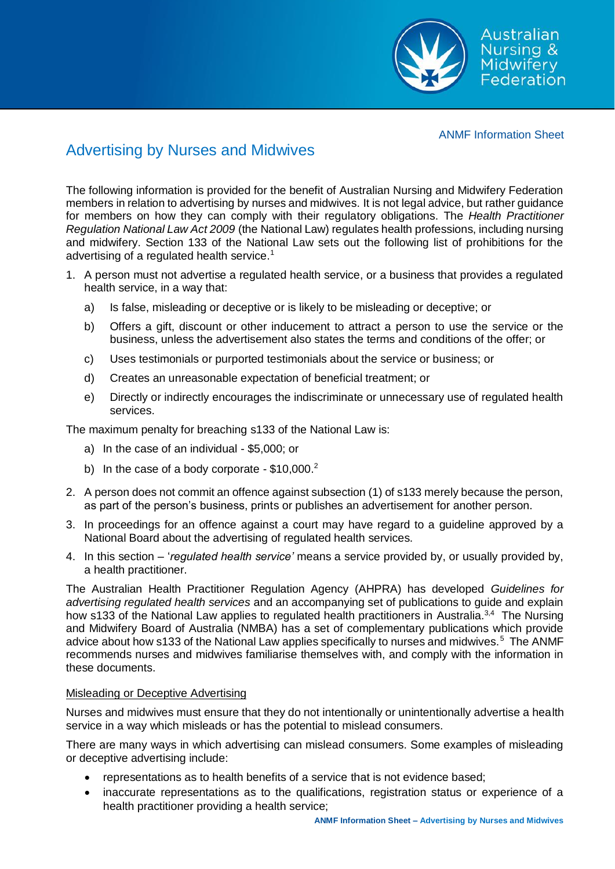Australian **Nursing &** Midwifery Federation

### ANMF Information Sheet

# Advertising by Nurses and Midwives

The following information is provided for the benefit of Australian Nursing and Midwifery Federation members in relation to advertising by nurses and midwives. It is not legal advice, but rather guidance for members on how they can comply with their regulatory obligations. The *Health Practitioner Regulation National Law Act 2009* (the National Law) regulates health professions, including nursing and midwifery. Section 133 of the National Law sets out the following list of prohibitions for the advertising of a regulated health service.<sup>1</sup>

- 1. A person must not advertise a regulated health service, or a business that provides a regulated health service, in a way that:
	- a) Is false, misleading or deceptive or is likely to be misleading or deceptive; or
	- b) Offers a gift, discount or other inducement to attract a person to use the service or the business, unless the advertisement also states the terms and conditions of the offer; or
	- c) Uses testimonials or purported testimonials about the service or business; or
	- d) Creates an unreasonable expectation of beneficial treatment; or
	- e) Directly or indirectly encourages the indiscriminate or unnecessary use of regulated health services.

The maximum penalty for breaching s133 of the National Law is:

- a) In the case of an individual \$5,000; or
- b) In the case of a body corporate  $-$  \$10,000.<sup>2</sup>
- 2. A person does not commit an offence against subsection (1) of s133 merely because the person, as part of the person's business, prints or publishes an advertisement for another person.
- 3. In proceedings for an offence against a court may have regard to a guideline approved by a National Board about the advertising of regulated health services.
- 4. In this section '*regulated health service'* means a service provided by, or usually provided by, a health practitioner.

The Australian Health Practitioner Regulation Agency (AHPRA) has developed *Guidelines for advertising regulated health services* and an accompanying set of publications to guide and explain how s133 of the National Law applies to regulated health practitioners in Australia.<sup>3,4</sup> The Nursing and Midwifery Board of Australia (NMBA) has a set of complementary publications which provide advice about how s133 of the National Law applies specifically to nurses and midwives.<sup>5</sup> The ANMF recommends nurses and midwives familiarise themselves with, and comply with the information in these documents.

# Misleading or Deceptive Advertising

Nurses and midwives must ensure that they do not intentionally or unintentionally advertise a health service in a way which misleads or has the potential to mislead consumers.

There are many ways in which advertising can mislead consumers. Some examples of misleading or deceptive advertising include:

- representations as to health benefits of a service that is not evidence based;
- inaccurate representations as to the qualifications, registration status or experience of a health practitioner providing a health service;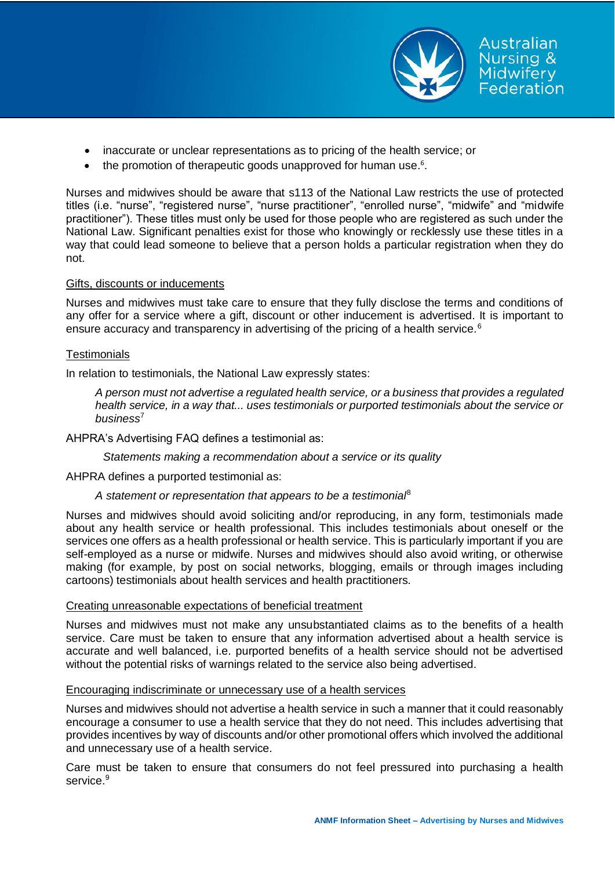

Australian Nursing & Midwiferv Federation

• the promotion of therapeutic goods unapproved for human use.<sup>6</sup>.

Nurses and midwives should be aware that s113 of the National Law restricts the use of protected titles (i.e. "nurse", "registered nurse", "nurse practitioner", "enrolled nurse", "midwife" and "midwife practitioner"). These titles must only be used for those people who are registered as such under the National Law. Significant penalties exist for those who knowingly or recklessly use these titles in a way that could lead someone to believe that a person holds a particular registration when they do not.

# Gifts, discounts or inducements

Nurses and midwives must take care to ensure that they fully disclose the terms and conditions of any offer for a service where a gift, discount or other inducement is advertised. It is important to ensure accuracy and transparency in advertising of the pricing of a health service.<sup>6</sup>

# **Testimonials**

In relation to testimonials, the National Law expressly states:

*A person must not advertise a regulated health service, or a business that provides a regulated health service, in a way that... uses testimonials or purported testimonials about the service or business*<sup>7</sup>

AHPRA's Advertising FAQ defines a testimonial as:

*Statements making a recommendation about a service or its quality*

AHPRA defines a purported testimonial as:

# *A statement or representation that appears to be a testimonial*<sup>8</sup>

Nurses and midwives should avoid soliciting and/or reproducing, in any form, testimonials made about any health service or health professional. This includes testimonials about oneself or the services one offers as a health professional or health service. This is particularly important if you are self-employed as a nurse or midwife. Nurses and midwives should also avoid writing, or otherwise making (for example, by post on social networks, blogging, emails or through images including cartoons) testimonials about health services and health practitioners.

# Creating unreasonable expectations of beneficial treatment

Nurses and midwives must not make any unsubstantiated claims as to the benefits of a health service. Care must be taken to ensure that any information advertised about a health service is accurate and well balanced, i.e. purported benefits of a health service should not be advertised without the potential risks of warnings related to the service also being advertised.

# Encouraging indiscriminate or unnecessary use of a health services

Nurses and midwives should not advertise a health service in such a manner that it could reasonably encourage a consumer to use a health service that they do not need. This includes advertising that provides incentives by way of discounts and/or other promotional offers which involved the additional and unnecessary use of a health service.

Care must be taken to ensure that consumers do not feel pressured into purchasing a health service.<sup>9</sup>